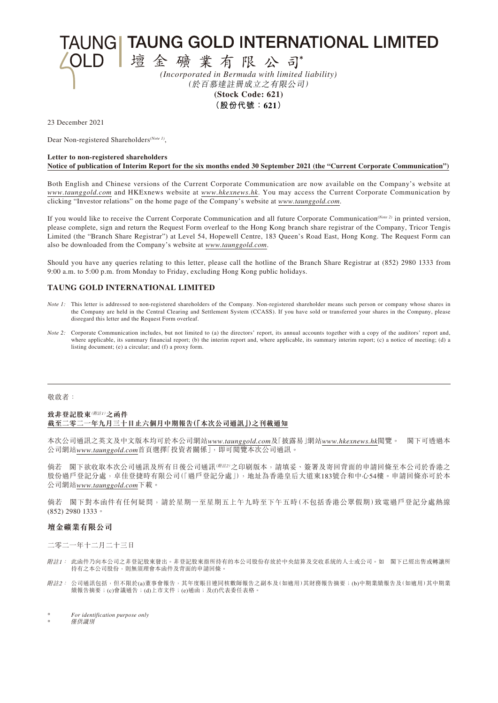**TAUNGI TAUNG GOLD INTERNATIONAL LIMITED** 

壇金礦業有限公司 *(Incorporated in Bermuda with limited liability)* (於百慕達註冊成立之有限公司) **(Stock Code: 621)**

**(股份代號:621)**

23 December 2021

Dear Non-registered Shareholders*(Note 1)*,

#### **Letter to non-registered shareholders Notice of publication of Interim Report for the six months ended 30 September 2021 (the "Current Corporate Communication")**

Both English and Chinese versions of the Current Corporate Communication are now available on the Company's website at *www.taunggold.com* and HKExnews website at *www.hkexnews.hk*. You may access the Current Corporate Communication by clicking "Investor relations" on the home page of the Company's website at *www.taunggold.com*.

If you would like to receive the Current Corporate Communication and all future Corporate Communication*(Note 2)* in printed version, please complete, sign and return the Request Form overleaf to the Hong Kong branch share registrar of the Company, Tricor Tengis Limited (the "Branch Share Registrar") at Level 54, Hopewell Centre, 183 Queen's Road East, Hong Kong. The Request Form can also be downloaded from the Company's website at *www.taunggold.com*.

Should you have any queries relating to this letter, please call the hotline of the Branch Share Registrar at (852) 2980 1333 from 9:00 a.m. to 5:00 p.m. from Monday to Friday, excluding Hong Kong public holidays.

## **TAUNG GOLD INTERNATIONAL LIMITED**

- *Note 1*: This letter is addressed to non-registered shareholders of the Company. Non-registered shareholder means such person or company whose shares in the Company are held in the Central Clearing and Settlement System (CCASS). If you have sold or transferred your shares in the Company, please disregard this letter and the Request Form overleaf.
- *Note 2*: Corporate Communication includes, but not limited to (a) the directors' report, its annual accounts together with a copy of the auditors' report and, where applicable, its summary financial report; (b) the interim report and, where applicable, its summary interim report; (c) a notice of meeting; (d) a listing document; (e) a circular; and (f) a proxy form.

#### 敬啟者:

## **致非登記股東**(附註1)**之函件 截至二零二一年九月三十日止六個月中期報告(「本次公司通訊」)之刊載通知**

本次公司通訊之英文及中文版本均可於本公司網站*www.taunggold.com*及「披露易」網站*www.hkexnews.hk*閱覽。 閣下可透過本 公司網站*www.taunggold.com*首頁選擇「投資者關係」,即可閱覽本次公司通訊。

倘若 閣下欲收取本次公司通訊及所有日後公司通訊( # # 2)之印刷版本,請填妥、簽署及寄回背面的申請回條至本公司於香港之 股份過戶登記分處,卓佳登捷時有限公司(「過戶登記分處」),地址為香港皇后大道東183號合和中心54樓。申請回條亦可於本 公司網站*www.taunggold.com*下載。

倘若 閣下對本函件有任何疑問,請於星期一至星期五上午九時至下午五時(不包括香港公眾假期)致電過戶登記分處熱線 (852) 2980 1333。

#### **壇金礦業有限公司**

二零二一年十二月二十三日

- 附註1: 此函件乃向本公司之非登記股東發出。非登記股東指所持有的本公司股份存放於中央結算及交收系統的人士或公司。如 閣下已經出售或轉讓所 持有之本公司股份,則無須理會本函件及背面的申請回條。
- $\hbox{\it \#}$ 註2: 公司通訊包括,但不限於(a)董事會報告,其年度賬目連同核數師報告之副本及(如適用)其財務報告摘要;(b)中期業績報告及(如適用)其中期業 績報告摘要;(c)會議通告;(d)上市文件;(e)通函;及(f)代表委任表格。

 $For$  *identification purpose only* 

**僅供識別**